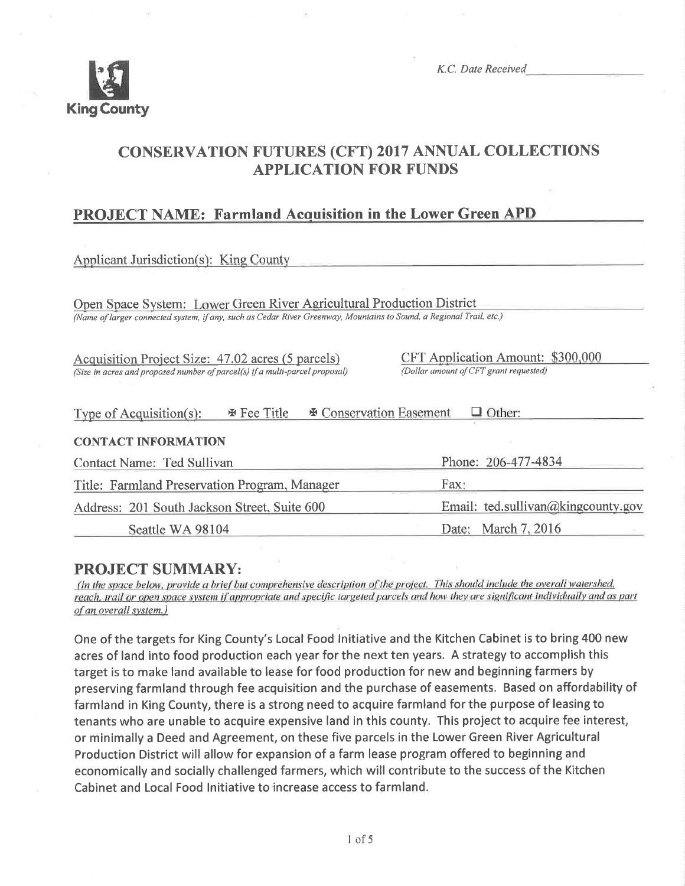

K.C. Date Received

# CONSERVATTON FUTURES (CFT) 2017 ANNUAL COLLECTIONS APPLICATION FOR FUNDS

## PROJECT NAME: Farmland Acquisition in the Lower Green APD

Applicant Jurisdiction(s): King County

Open Space System: Lower Green River Agricultural Production District (Name of larger connecled system, if any, such as Cedar River Greenway, Mountains to Sound, a Regional Trail, etc.)

Acquisition Project Size: 47.02 acres (5 parcels) (Size in acres and proposed number of parcel(s) if a multi-parcel proposal) CFT Application Amount: \$300,000 (Dollar amount o/CFT grant requested)

| <b>Ex</b> Fee Title<br>Type of Acquisition(s): | $\Box$ Other:<br><b>EX Conservation Easement</b> |
|------------------------------------------------|--------------------------------------------------|
| <b>CONTACT INFORMATION</b>                     |                                                  |
| Contact Name: Ted Sullivan                     | Phone: 206-477-4834                              |
| Title: Farmland Preservation Program, Manager  | Fax:                                             |
| Address: 201 South Jackson Street, Suite 600   | Email: ted.sullivan@kingcounty.gov               |
| Seattle WA 98104                               | Date: March 7, 2016                              |

**PROJECT SUMMARY:**<br>(In the space below, provide a brief but comprehensive description of the project. This should include the overall watershed, reach, trail or open space system if appropriate and specific targeted parcels and how they are significant individually and as part of an overall system.)

One of the targets for King County's Local Food lnitiative and the Kitchen Cabinet is to bring 400 new acres of land into food production each year for the next ten years. A strategy to accomplish this target is to make land available to lease for food production for new and beginning farmers by preserving farmland through fee acquisition and the purchase of easements. Based on affordability of farmland in King County, there is a strong need to acquire farmland for the purpose of leasing to tenants who are unable to acquire expensive land in this county. This project to acquire fee interest, or minimally a Deed and Agreement, on these five parcels in the Lower Green River Agricultural Production District will allow for expansion of a farm lease program offered to beginning and economically and socially challenged farmers, which will contribute to the success of the Kitchen Cabinet and Local Food lnitiative to increase access to farmland.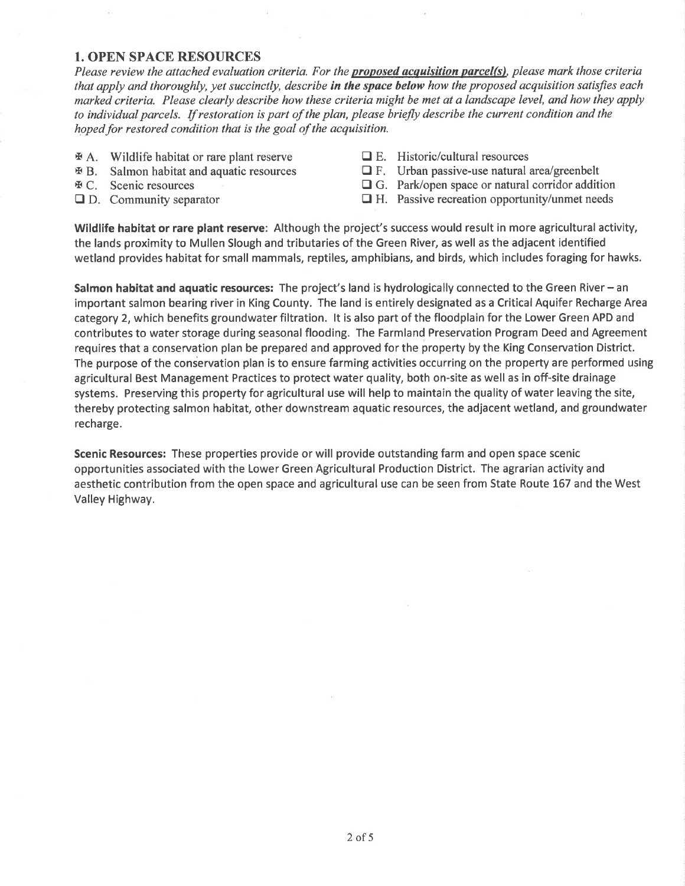#### 1. OPEN SPACE RESOURCES

Please review the attached evaluation criteria. For the **proposed acquisition parcel(s)**, please mark those criteria that apply and thoroughly, yet succinctly, describe in the space below how the proposed acquisition satisfies each marked criteria. Please clearly describe how these criteria might be met at a landscape level, and how they apply to individual parcels. If restoration is part of the plan, please briefly describe the current condition and the hoped for restored condition that is the goal of the acquisition.

- x A. Wildlife habitat or rare plant reserve
- x B. Salmon habitat and aquatic resources
- **EXC.** Scenic resources
- $\Box$  D. Community separator
- $\Box$  E. Historic/cultural resources
- $\Box$  F. Urban passive-use natural area/greenbelt
- $\Box$  G. Park/open space or natural corridor addition
- $\Box$  H. Passive recreation opportunity/unmet needs

Wildlife habitat or rare plant reserve: Although the project's success would result in more agricultural activity, the lands proximity to Mullen Slough and tributaries of the Green River, as well as the adjacent identified wetland provides habitat for small mammals, reptiles, amphibians, and birds, which includes foraging for hawks.

Salmon habitat and aquatic resources: The project's land is hydrologically connected to the Green River – an important salmon bearing river in King County. The land is entirely designated as a Critical Aquifer Recharge Area category 2, which benefits groundwater filtration. lt is also part of the floodplain for the Lower Green APD and contributes to water storage during seasonal flooding. The Farmland Preservation Program Deed and Agreement requires that a conservation plan be prepared and approved for the property by the King Conservation District. The purpose of the conservation plan is to ensure farming activities occurring on the property are performed using agricultural Best Management Practices to protect water quality, both on-site as well as in off-site drainage systems. Preserving this property for agricultural use will help to maintain the quality of water leaving the site, thereby protecting salmon habitat, other downstream aquatic resources, the adjacent wetland, and groundwater recharge.

Scenic Resources: These properties provide or will provide outstanding farm and open space scenic opportunities associated with the Lower Green Agricultural Production District. The agrarian activity and aesthetic contribution from the open space and agricultural use can be seen from State Route 167 and the West Valley Highway.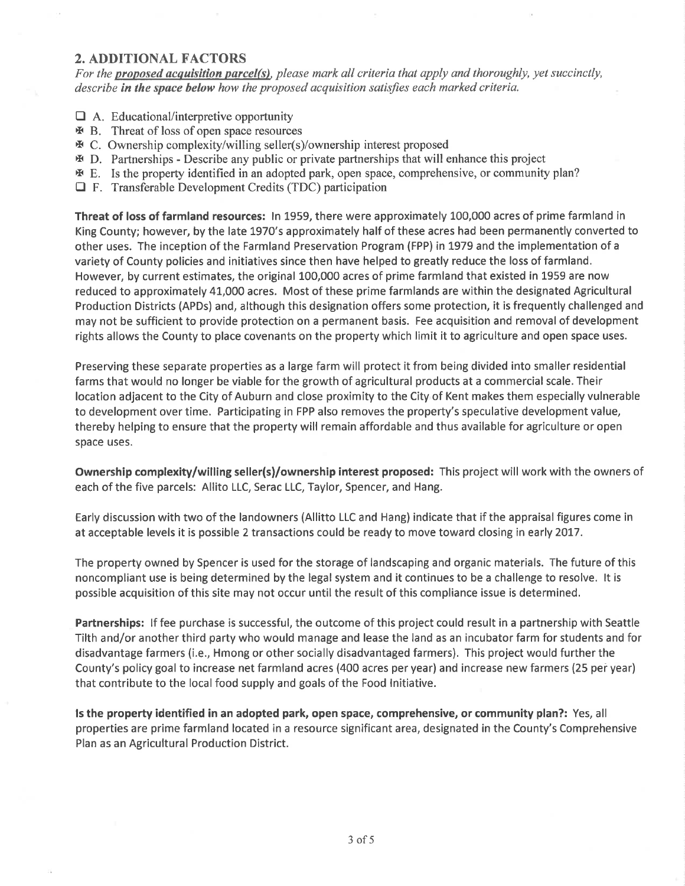### 2. ADDITIONAL FACTORS

For the proposed acquisition parcel(s), please mark all criteria that apply and thoroughly, yet succinctly, describe in the space below how the proposed acquisition satisfies each marked criteria.

- $\Box$  A. Educational/interpretive opportunity
- x B. Threat ofloss ofopen space resources
- x C. Ownership complexity/willing seller(s)/ownership interest proposed
- x D. Partnerships Describe any public or private partnerships that will enhance this project
- x E. Is the property identified in an adopted park, open space, comprehensive, or community plan?
- $\Box$  F. Transferable Development Credits (TDC) participation

Threat of loss of farmland resources: ln L959, there were approximately 100,000 acres of prime farmland in King County; however, by the late 1970's approximately half of these acres had been permanently converted to other uses. The inception of the Farmland Preservation Program (FPP) in L979 and the implementation of a variety of County policies and initiatives since then have helped to greatly reduce the loss of farmland. However, by current estimates, the original 100,000 acres of prime farmland that existed in 1959 are now reduced to approximately 41,000 acres. Most of these prime farmlands are within the designated Agricultural Production Districts (APDs) and, although this designation offers some protection, it is frequently challenged and may not be sufficient to provide protection on a permanent basis. Fee acquisition and removal of development rights allows the County to place covenants on the property which limit it to agriculture and open space uses.

Preserving these separate properties as a large farm will protect it from being divided into smaller residential farms that would no longer be viable for the growth of agricultural products at a commercial scale. Their location adjacent to the City of Auburn and close proximity to the City of Kent makes them especially vulnerable to development over time. Participating in FPP also removes the property's speculative development value, thereby helping to ensure that the property will remain affordable and thus available for agriculture or open space uses.

Ownership complexity/willing seller(s)/ownership interest proposed: This project will work with the owners of each of the five parcels: Allito LLC, Serac LLC, Taylor, Spencer, and Hang.

Early discussion with two of the landowners (Allitto LLC and Hang) indicate that if the appraisal figures come in at acceptable levels it is possible 2 transactions could be ready to move toward closing in early 2017.

The property owned by Spencer is used for the storage of landscaping and organic materials. The future of this noncompliant use is being determined by the legal system and it continues to be a challenge to resolve. lt is possible acquisition of this site may not occur until the result of this compliance issue is determined.

Partnerships: If fee purchase is successful, the outcome of this project could result in a partnership with Seattle Tilth and/or another third party who would manage and lease the land as an incubator farm for students and for disadvantage farmers (i.e., Hmong or other socially disadvantaged farmers). This project would further the County's policy goal to increase net farmland acres (400 acres per year) and increase new farmers (25 pei year) that contribute to the local food supply and goals of the Food lnitiative.

ls the property identified in an adopted park, open space, comprehensive, or community plan?: Yes, all properties are prime farmland located in a resource significant area, designated in the County's Comprehensive Plan as an Agricultural Production District.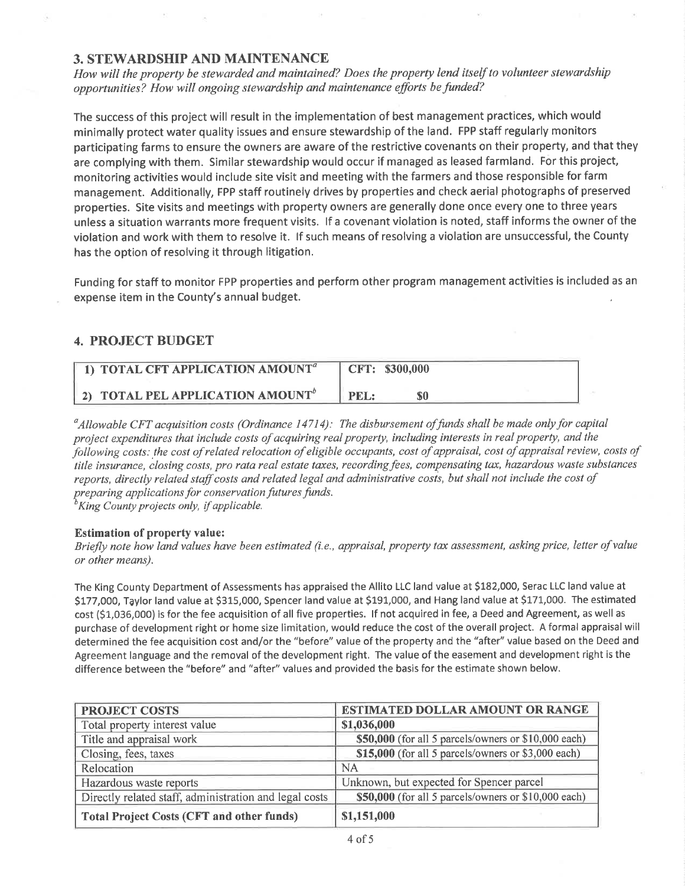#### 3. STEWARDSHIP AND MAINTENANCE

How will the property be stewarded and maintained? Does the property lend itself to volunteer stewardship opportunities? How will ongoing stewardship and maintenance efforts befunded?

The success of this project will result in the implementation of best management practices, which would minimally protect water quality issues and ensure stewardship of the land. FPP staff regularly monitors participating farms to ensure the owners are aware of the restrictive covenants on their property, and that they are complying with them. Similar stewardship would occur if managed as leased farmland. For this project, monitoring activities would include site visit and meeting with the farmers and those responsible for farm management. Additionally, FPP staff routinely drives by properties and check aerial photographs of preserved properties. Site visits and meetings with property owners are generally done once every one to three years unless a situation warrants more frequent visits. lf a covenant violation is noted, staff informs the owner of the violation and work with them to resolve it. lf such means of resolving a violation are unsuccessful, the County has the option of resolving it through litigation.

Funding for staff to monitor FPP properties and perform other program management activities is included as an expense item in the County's annual budget.

### 4. PROJECT BUDGET

| 1) TOTAL CFT APPLICATION AMOUNT <sup>a</sup> | CFT: \$300,000 |
|----------------------------------------------|----------------|
| <b>2) TOTAL PEL APPLICATION AMOUNT</b>       | PEL:           |

 $^a$ Allowable CFT acquisition costs (Ordinance 14714): The disbursement of funds shall be made only for capital project expenditures that include costs of acquiring real property, including interests in real property, and the following costs; the cost of related relocation of eligible occupants, cost of appraisal, cost of appraisal review, costs of title insurance, closing costs, pro rata real estate taxes, recording fees, compensating tax, hazardous waste substances reports, directly related staff costs and related legal and administrative costs, but shall not include the cost of preparing applications for conservation futures funds.

 ${}^{\scriptscriptstyle b}$ King County projects only, if applicable.

#### Estimation of property value:

Briefly note how land values have been estimated (i.e., appraisal, property tax assessment, asking price, letter of value or other means).

The King County Department of Assessments has appraised the Allito LLC land value at 5182,000, Serac LLC land value at S177,000, Taylor land value at \$315,000, Spencer land value at \$191,000, and Hang land value at \$171,000. The estimated cost (\$1,036,000) is for the fee acquisition of all five properties. lf not acquired in fee, a Deed and Agreement, as well as purchase of development right or home size limitation, would reduce the cost of the overall project. A formal appraisal will determined the fee acquisition cost and/or the "before" value of the property and the "after" value based on the Deed and Agreement language and the removal of the development right. The value of the easement and development right is the difference between the "before" and "after" values and provided the basis for the estimate shown below.

| <b>PROJECT COSTS</b>                                   | <b>ESTIMATED DOLLAR AMOUNT OR RANGE</b>              |  |
|--------------------------------------------------------|------------------------------------------------------|--|
| Total property interest value                          | \$1,036,000                                          |  |
| Title and appraisal work                               | \$50,000 (for all 5 parcels/owners or \$10,000 each) |  |
| Closing, fees, taxes                                   | \$15,000 (for all 5 parcels/owners or \$3,000 each)  |  |
| Relocation                                             | <b>NA</b>                                            |  |
| Hazardous waste reports                                | Unknown, but expected for Spencer parcel             |  |
| Directly related staff, administration and legal costs | \$50,000 (for all 5 parcels/owners or \$10,000 each) |  |
| <b>Total Project Costs (CFT and other funds)</b>       | \$1,151,000                                          |  |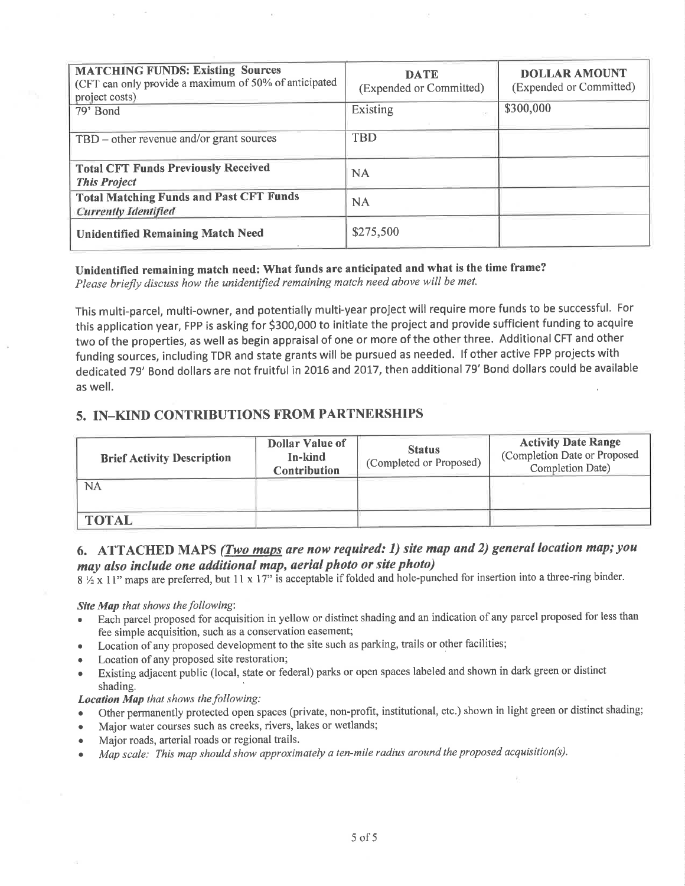| <b>MATCHING FUNDS: Existing Sources</b><br>(CFT can only provide a maximum of 50% of anticipated<br>project costs) | <b>DATE</b><br>(Expended or Committed) | <b>DOLLAR AMOUNT</b><br>(Expended or Committed) |
|--------------------------------------------------------------------------------------------------------------------|----------------------------------------|-------------------------------------------------|
| 79' Bond                                                                                                           | Existing                               | \$300,000                                       |
| TBD – other revenue and/or grant sources                                                                           | <b>TBD</b>                             |                                                 |
| <b>Total CFT Funds Previously Received</b><br><b>This Project</b>                                                  | <b>NA</b>                              |                                                 |
| <b>Total Matching Funds and Past CFT Funds</b><br><b>Currently Identified</b>                                      | <b>NA</b>                              |                                                 |
| <b>Unidentified Remaining Match Need</b>                                                                           | \$275,500                              |                                                 |

#### Unidentified remaining match need: What funds are anticipated and what is the time frame? Please briefty discuss how the unidentified remaining match need above will be met.

This multi-parcel, multi-owner, and potentially multi-year project will require more funds to be successful. For this application year, FPP is asking for \$300,000 to initiate the project and provide sufficient funding to acquire two of the properties, as well as begin appraisal of one or more of the other three. Additional CFT and other funding sources, including TDR and state grants will be pursued as needed. lf other active FPP projects with dedicated 79' Bond dollars are not fruitful in 2016 and 2017, then additional 79' Bond dollars could be available as well.

## 5. IN-KIND CONTRIBUTIONS FROM PARTNERSHIPS

| <b>Brief Activity Description</b> | <b>Dollar Value of</b><br>In-kind<br><b>Contribution</b> | <b>Status</b><br>(Completed or Proposed) | <b>Activity Date Range</b><br>(Completion Date or Proposed<br>Completion Date) |
|-----------------------------------|----------------------------------------------------------|------------------------------------------|--------------------------------------------------------------------------------|
| NA                                |                                                          |                                          |                                                                                |
| <b>TOTAL</b>                      |                                                          |                                          |                                                                                |

## 6. ATTACHED MAPS (*Two maps are now required: 1) site map and 2) general location map; you* may also include one additional map, aerial photo or site photo)

 $8\frac{1}{2}$  x 11" maps are preferred, but 11 x 17" is acceptable if folded and hole-punched for insertion into a three-ring binder.

#### Site Map that shows the following:

- Each parcel proposed for acquisition in yellow or distinct shading and an indication of any parcel proposed for less than fee simple acquisition, such as a conservation easement;
- Location of any proposed development to the site such as parking, trails or other facilities;
- Location of any proposed site restoration;
- Existing adjacent public (local, state or federal) parks or open spaces labeled and shown in dark green or distinct shading.

#### Location Map that shows the following:

- Other permanently protected open spaces (private, non-profit, institutional, etc.) shown in light green or distinct shading;
- . Major water courses such as creeks, rivers, lakes or wetlands;
- Major roads, arterial roads or regional trails.
- . Mqp scale: This map should show approximately a ten-mile radius around the proposed acquisition(s).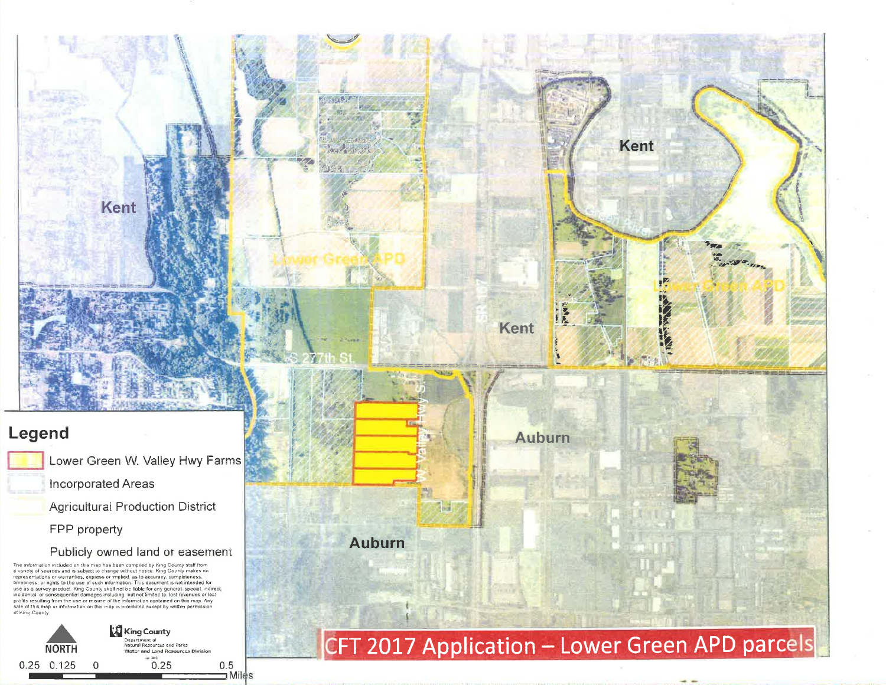# Legend

Incorporated Areas

Kent

**Agricultural Production District** 

FPP property

Publicly owned land or easement

The information included on this map has been compiled by King County staff from<br>a variety of sources and is subject to change without notice. King County makes no<br>representations or warranties, express or implied, as to a use as a survey product. King County shall not be liable for any general special indirect incidental or consequential damages including, but not limited to lost revenues or lost<br>profits resulting from the use or misuse of the information contained on this map. Any sale of this map or information on this map is prohibited except by written permission of King County